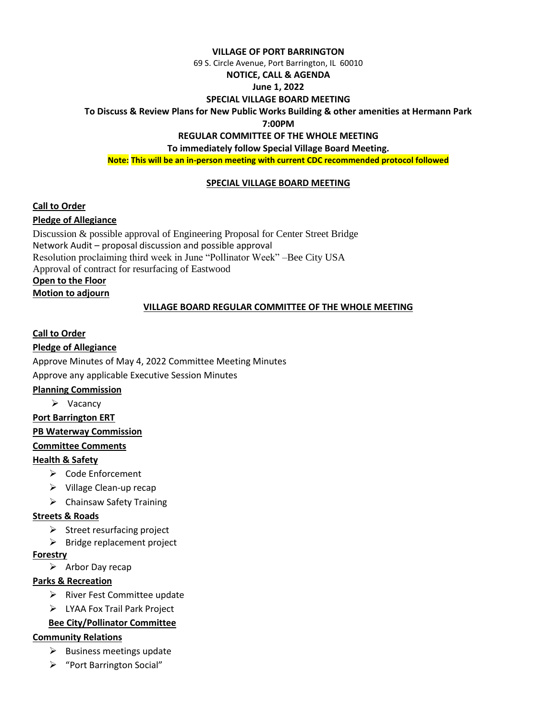#### **VILLAGE OF PORT BARRINGTON**

69 S. Circle Avenue, Port Barrington, IL 60010

#### **NOTICE, CALL & AGENDA**

### **June 1, 2022**

#### **SPECIAL VILLAGE BOARD MEETING**

**To Discuss & Review Plans for New Public Works Building & other amenities at Hermann Park**

#### **7:00PM**

### **REGULAR COMMITTEE OF THE WHOLE MEETING**

**To immediately follow Special Village Board Meeting.**

**Note: This will be an in-person meeting with current CDC recommended protocol followed**

### **SPECIAL VILLAGE BOARD MEETING**

### **Call to Order**

# **Pledge of Allegiance**

Discussion & possible approval of Engineering Proposal for Center Street Bridge Network Audit – proposal discussion and possible approval Resolution proclaiming third week in June "Pollinator Week" –Bee City USA Approval of contract for resurfacing of Eastwood **Open to the Floor Motion to adjourn** 

### **VILLAGE BOARD REGULAR COMMITTEE OF THE WHOLE MEETING**

**Call to Order**

# **Pledge of Allegiance**

Approve Minutes of May 4, 2022 Committee Meeting Minutes

Approve any applicable Executive Session Minutes

### **Planning Commission**

➢ Vacancy

### **Port Barrington ERT**

**PB Waterway Commission** 

### **Committee Comments**

# **Health & Safety**

- ➢ Code Enforcement
- ➢ Village Clean-up recap
- ➢ Chainsaw Safety Training

# **Streets & Roads**

- ➢ Street resurfacing project
- $\triangleright$  Bridge replacement project

### **Forestry**

➢ Arbor Day recap

# **Parks & Recreation**

- ➢ River Fest Committee update
- ➢ LYAA Fox Trail Park Project

# **Bee City/Pollinator Committee**

# **Community Relations**

- $\triangleright$  Business meetings update
- ➢ "Port Barrington Social"